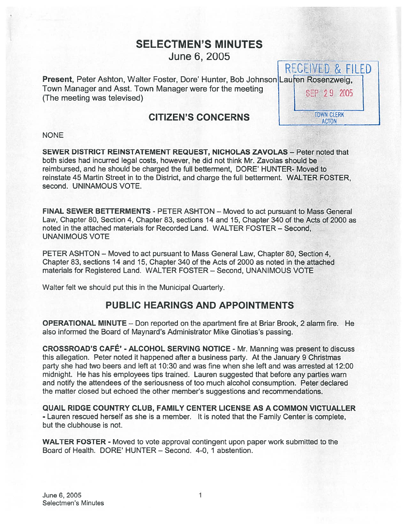# SELECTMEN'S MINUTES June 6, 2005

RECEIVED & FILED Present, Peter Ashton, Walter Foster, Dore' Hunter, Bob Johnson Lauren Rosenzweig, Town Manager and Asst. Town Manager were for the meeting 8EP 29 2005<br>(The meeting was televised)

## CITIZEN'S CONCERNS

**TOWN CLERK ACTON** 

#### NONE

SEWER DISTRICT REINSTATEMENT REQUEST, NICHOLAS ZAVOLAS — Peter noted that both sides had incurred legal costs, however, he did not think Mr. Zavolas should be reimbursed, and he should be charged the full betterment, DORE' HUNTER- Moved to reinstate 45 Martin Street in to the District, and charge the full betterment. WALTER FOSTER, second. UNINAMOUS VOTE.

FINAL SEWER BETTERMENTS - PETER ASHTON — Moved to act pursuan<sup>t</sup> to Mass General Law, Chapter 80, Section 4, Chapter 83, sections 14 and 15, Chapter 340 of the Acts of 2000 as noted in the attached materials for Recorded Land. WALTER FOSTER — Second, UNANIMOUS VOTE

PETER ASHTON — Moved to act pursuan<sup>t</sup> to Mass General Law, Chapter 80, Section 4, Chapter 83, sections 14 and 15, Chapter 340 of the Acts of 2000 as noted in the attached materials for Registered Land. WALTER FOSTER — Second, UNANIMOUS VOTE

Walter felt we should pu<sup>t</sup> this in the Municipal Quarterly.

# PUBLIC HEARINGS AND APPOINTMENTS

OPERATIONAL MINUTE — Don reported on the apartment fire at Briar Brook, 2 alarm fire. He also informed the Board of Maynard's Administrator Mike Ginotias's passing.

CROSSROAD'S CAFÉ' - ALCOHOL SERVING NOTICE - Mr. Manning was presen<sup>t</sup> to discuss this allegation. Peter noted it happened after <sup>a</sup> business party. At the January 9 Christmas party she had two beers and left at 10:30 and was fine when she left and was arrested at 12:00 midnight. He has his employees tips trained. Lauren suggested that before any parties warn and notify the attendees of the seriousness of too much alcohol consumption. Peter declared the matter closed but echoed the other member's suggestions and recommendations.

QUAIL RIDGE COUNTRY CLUB, FAMILY CENTER LICENSE AS A COMMON VICTUALLER - Lauren rescued herself as she is <sup>a</sup> member. It is noted that the Family Center is complete, but the clubhouse is not.

WALTER FOSTER - Moved to vote approval contingent upon paper work submitted to the Board of Health. DORE' HUNTER — Second. 4-0, 1 abstention.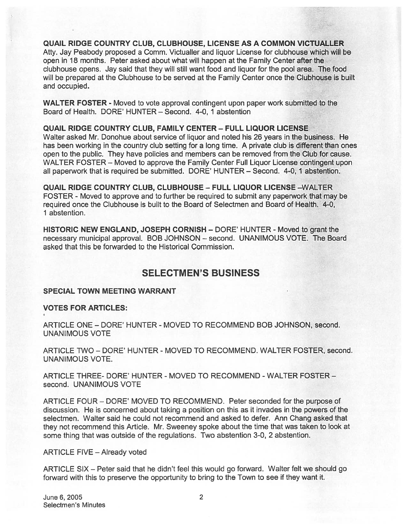QUAIL RIDGE COUNTRY CLUB, CLUBHOUSE, LICENSE AS A COMMON VICTUALLER Atty. Jay Peabody proposed <sup>a</sup> Comm. Victualler and liquor License for clubhouse which will be open in 18 months. Peter asked about what will happen at the Family Center after the clubhouse opens. Jay said that they will still want food and liquor for the pool area. The food will be prepared at the Clubhouse to be served at the Family Center once the Clubhouse is built and occupied.

WALTER FOSTER - Moved to vote approval contingent upon paper work submitted to the Board of Health. DORE' HUNTER — Second. 4-0, 1 abstention

QUAIL RIDGE COUNTRY CLUB, FAMILY CENTER — FULL LIQUOR LICENSE

Walter asked Mr. Donohue about service of liquor and noted his 26 years in the business. He has been working in the country club setting for <sup>a</sup> long time. A private club is different than ones open to the public. They have policies and members can be removed from the Club for cause. WALTER FOSTER — Moved to approve the Family Center Full Liquor License contingent upon all paperwork that is required be submitted. DORE' HUNTER — Second. 4-0, 1 abstention.

QUAIL RIDGE COUNTRY CLUB, CLUBHOUSE — FULL LIQUOR LICENSE —WALTER FOSTER - Moved to approve and to further be required to submit any paperwork that may be required once the Clubhouse is built to the Board of Selectmen and Board of Health. 4-0, 1 abstention.

HISTORIC NEW ENGLAND, JOSEPH CORNISH – DORE' HUNTER - Moved to grant the necessary municipal approval. BOB JOHNSON — second. UNANIMOUS VOTE. The Board asked that this be forwarded to the Historical Commission.

## SELECTMEN'S BUSINESS

### SPECIAL TOWN MEETING WARRANT

VOTES FOR ARTICLES:

ARTICLE ONE -DORE' HUNTER - MOVED TO RECOMMEND BOB JOHNSON, second. UNANIMOUS VOTE

ARTICLE TWO - DORE' HUNTER - MOVED TO RECOMMEND. WALTER FOSTER, second. UNANIMOUS VOTE.

ARTICLE THREE- DORE' HUNTER - MOVED TO RECOMMEND -WALTER FOSTER second. UNANIMOUS VOTE

ARTICLE FOUR — DORE' MOVED TO RECOMMEND. Peter seconded for the purpose of discussion. He is concerned about taking <sup>a</sup> position on this as it invades in the powers of the selectmen. Walter said he could not recommend and asked to defer. Ann Chang asked that they not recommend this Article. Mr. Sweeney spoke about the time that was taken to look at some thing that was outside of the regulations. Two abstention 3-0, 2 abstention.

ARTICLE FIVE — Already voted

ARTICLE SIX — Peter said that he didn't feel this would go forward. Walter felt we should go forward with this to preserve the opportunity to bring to the Town to see if they want it.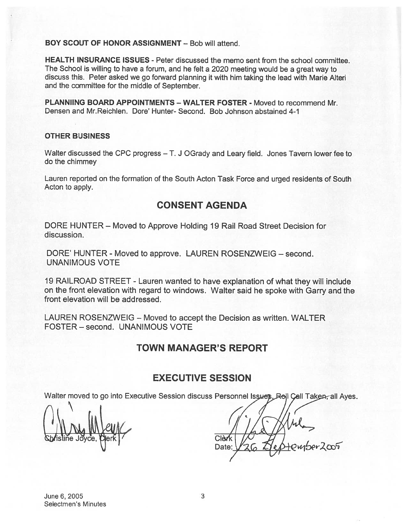BOY SCOUT OF HONOR ASSIGNMENT — Bob will attend.

HEALTH INSURANCE ISSUES - Peter discussed the memo sent from the school committee. The School is willing to have <sup>a</sup> forum, and he felt <sup>a</sup> <sup>2020</sup> meeting would be <sup>a</sup> grea<sup>t</sup> way to discuss this. Peter asked we go forward <sup>p</sup>lanning it with him taking the lead with Marie Alteri and the committee for the middle of September.

PLANNIING BOARD APPOINTMENTS - WALTER FOSTER - Moved to recommend Mr. Densen and Mr.Reichlen. Dore' Hunter- Second. Bob Johnson abstained 4-1

### OTHER BUSINESS

Walter discussed the CPC progress — T. J OGrady and Leary field. Jones Tavern lower fee to do the chimmey

Lauren reported on the formation of the South Acton Task Force and urged residents of South Acton to apply.

### CONSENT AGENDA

DORE HUNTER — Moved to Approve Holding 19 Rail Road Street Decision for discussion.

DORE' HUNTER - Moved to approve. LAUREN ROSENZWEIG — second. UNANIMOUS VOTE

19 RAILROAD STREET - Lauren wanted to have explanation of what they will include on the front elevation with regar<sup>d</sup> to windows. Walter said he spoke with Garry and the front elevation will be addressed.

LAUREN ROSENZWEIG — Moved to accep<sup>t</sup> the Decision as written. WALTER FOSTER — second. UNANIMOUS VOTE

### TOWN MANAGER'S REPORT

### EXECUTIVE SESSION

Walter moved to go into Executive Session discuss Personnel Issues. Rell Call Taken, all Ayes.

Clèrk ember2005 Date: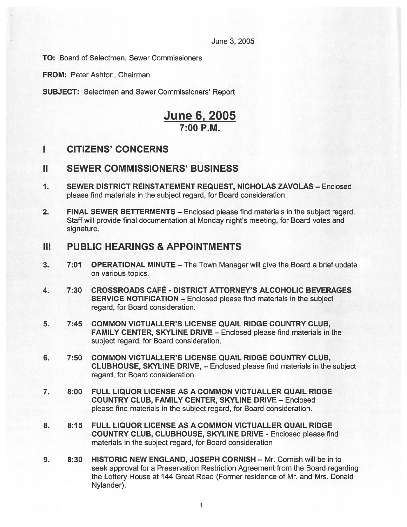June 3, 2005

TO: Board of Selectmen, Sewer Commissioners

FROM: Peter Ashton, Chairman

SUBJECT: Selectmen and Sewer Commissioners' Report

# June 6, 2005 7:00 P.M.

# I CITIZENS' CONCERNS

### II SEWER COMMISSIONERS' BUSINESS

- 1. SEWER DISTRICT REINSTATEMENT REQUEST, NICHOLAS ZAVOLAS Enclosed please find materials in the subject regard, for Board consideration.
- 2. FINAL SEWER BETTERMENTS Enclosed please find materials in the subject regard. Staff will provide final documentation at Monday night's meeting, for Board votes and signature.

### III PUBLIC HEARINGS & APPOINTMENTS

- 3. 7:01 OPERATIONAL MINUTE The Town Manager will give the Board <sup>a</sup> brief update on various topics.
- 4. 7:30 CROSSROADS CAFÉ DISTRICT ATTORNEY'S ALCOHOLIC BEVERAGES SERVICE NOTIFICATION — Enclosed please find materials in the subject regard, for Board consideration.
- 5. 7:45 COMMON VICTUALLER'S LICENSE QUAIL RIDGE COUNTRY CLUB, FAMILY CENTER, SKYLINE DRIVE — Enclosed please find materials in the subject regard, for Board consideration.
- 6. 7:50 COMMON VICTUALLER'S LICENSE QUAIL RIDGE COUNTRY CLUB, CLUBHOUSE, SKYLINE DRIVE, — Enclosed please find materials in the subject regard, for Board consideration.
- 7. 8:00 FULL LIQUOR LICENSE AS A COMMON VICTUALLER QUAIL RIDGE COUNTRY CLUB, FAMILY CENTER, SKYLINE DRIVE — Enclosed please find materials in the subject regard, for Board consideration.
- 8. 8:15 FULL LIQUOR LICENSE AS A COMMON VICTUALLER QUAIL RIDGE COUNTRY CLUB, CLUBHOUSE, SKYLINE DRIVE - Enclosed please find materials in the subject regard, for Board consideration
- 9. 8:30 HISTORIC NEW ENGLAND, JOSEPH CORNISH Mr. Cornish will be in to seek approval for <sup>a</sup> Preservation Restriction Agreement from the Board regarding the Lottery House at 144 Great Road (Former residence of Mr. and Mrs. Donald Nylander).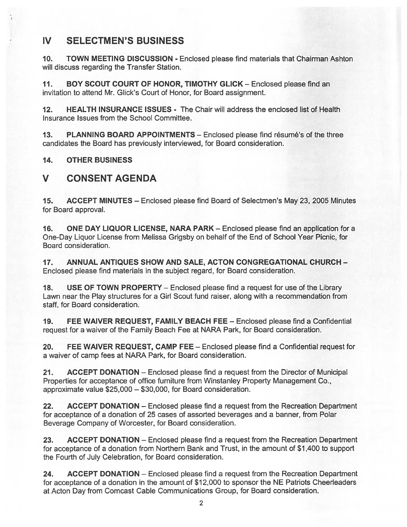# IV SELECTMEN'S BUSINESS

10. TOWN MEETING DISCUSSION - Enclosed please find materials that Chairman Ashton will discuss regarding the Transfer Station.

11. BOY SCOUT COURT OF HONOR, TIMOTHY GLICK — Enclosed please find an invitation to attend Mr. Glick's Court of Honor, for Board assignment.

12. HEALTH INSURANCE ISSUES - The Chair will address the enclosed list of Health Insurance Issues from the School Committee.

13. PLANNING BOARD APPOINTMENTS — Enclosed please find résumé's of the three candidates the Board has previously interviewed, for Board consideration.

14. OTHER BUSINESS

# V CONSENT AGENDA

15. ACCEPT MINUTES — Enclosed please find Board of Selectmen's May 23, 2005 Minutes for Board approval.

16. ONE DAY LIQUOR LICENSE, NARA PARK — Enclosed please find an application for <sup>a</sup> One-Day Liquor License from Melissa Grigsby on behalf of the End of School Year Picnic, for Board consideration.

17. ANNUAL ANTIQUES SHOW AND SALE, ACTON CONGREGATIONAL CHURCH - Enclosed please find materials in the subject regard, for Board consideration.

18. USE OF TOWN PROPERTY — Enclosed please find <sup>a</sup> reques<sup>t</sup> for use of the Library Lawn near the Play structures for <sup>a</sup> Girl Scout fund raiser, along with <sup>a</sup> recommendation from staff, for Board consideration.

19. FEE WAIVER REQUEST, FAMILY BEACH FEE — Enclosed please find <sup>a</sup> Confidential reques<sup>t</sup> for <sup>a</sup> waiver of the Family Beach Fee at NARA Park, for Board consideration.

20. FEE WAIVER REQUEST, CAMP FEE — Enclosed please find <sup>a</sup> Confidential reques<sup>t</sup> for <sup>a</sup> waiver of camp fees at NARA Park, for Board consideration.

21. ACCEPT DONATION — Enclosed please find <sup>a</sup> reques<sup>t</sup> from the Director of Municipal Properties for acceptance of office furniture from Winstanley Property Management Co., approximate value \$25,000 — \$30,000, for Board consideration.

22. ACCEPT DONATION – Enclosed please find a request from the Recreation Department for acceptance of <sup>a</sup> donation of 25 cases of assorted beverages and <sup>a</sup> banner, from Polar Beverage Company of Worcester, for Board consideration.

23. ACCEPT DONATION — Enclosed please find <sup>a</sup> reques<sup>t</sup> from the Recreation Department for acceptance of <sup>a</sup> donation from Northern Bank and Trust, in the amount of \$1,400 to suppor<sup>t</sup> the Fourth of July Celebration, for Board consideration.

24. ACCEPT DONATION – Enclosed please find a request from the Recreation Department for acceptance of <sup>a</sup> donation in the amount of \$12,000 to sponsor the NE Patriots Cheerleaders at Acton Day from Comcast Cable Communications Group, for Board consideration.